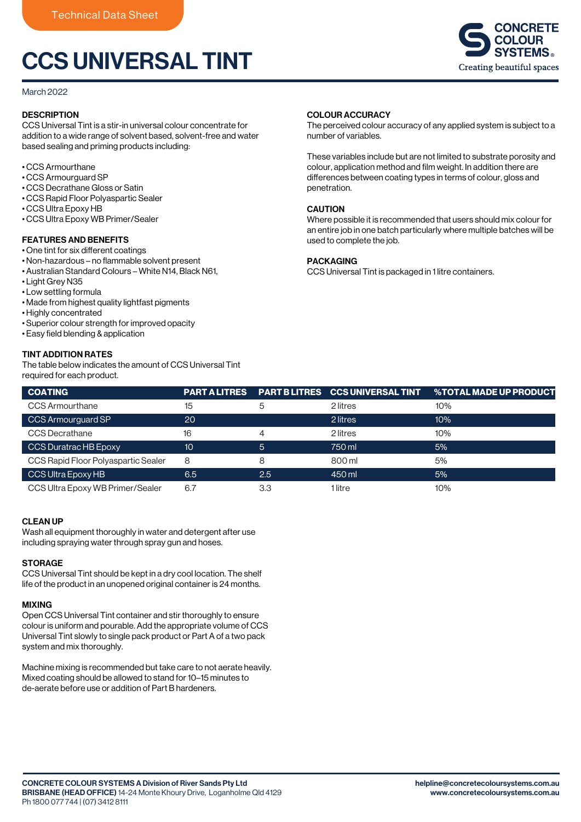# CCS UNIVERSAL TINT

#### March 2022

## **DESCRIPTION**

CCS Universal Tint is a stir-in universal colour concentrate for addition to a wide range of solvent based, solvent-free and water based sealing and priming products including:

- CCS Armourthane
- CCS Armourguard SP
- CCS Decrathane Gloss or Satin
- CCS Rapid Floor Polyaspartic Sealer
- CCS Ultra Epoxy HB
- CCS Ultra Epoxy WB Primer/Sealer

## FEATURES AND BENEFITS

- One tint for six different coatings
- Non-hazardous no flammable solvent present
- Australian Standard Colours White N14, Black N61,
- Light Grey N35
- Low settling formula
- Made from highest quality lightfast pigments
- Highly concentrated
- Superior colour strength for improved opacity
- Easy field blending & application

## TINT ADDITION RATES

The table below indicates the amount of CCS Universal Tint required for each product.

# COLOUR ACCURACY

The perceived colour accuracy of any applied system is subject to a number of variables.

These variables include but are not limited to substrate porosity and colour, application method and film weight. In addition there are differences between coating types in terms of colour, gloss and penetration.

# **CAUTION**

Where possible it is recommended that users should mix colour for an entire job in one batch particularly where multiple batches will be used to complete the job.

#### PACKAGING

CCS Universal Tint is packaged in 1 litre containers.

| <b>COATING</b>                      | <b>PART A LITRES</b> |     | <b>PART BLITRES CCS UNIVERSAL TINT</b> | <b>%TOTAL MADE UP PRODUCT</b> |
|-------------------------------------|----------------------|-----|----------------------------------------|-------------------------------|
| <b>CCS Armourthane</b>              | 15                   | 5   | 2 litres                               | 10%                           |
| CCS Armourguard SP                  | 20                   |     | 2 litres                               | 10%                           |
| CCS Decrathane                      | 16                   | 4   | 2 litres                               | 10%                           |
| CCS Duratrac HB Epoxy               | 10                   | 5   | 750 ml                                 | 5%                            |
| CCS Rapid Floor Polyaspartic Sealer | 8                    | 8   | 800 ml                                 | 5%                            |
| CCS Ultra Epoxy HB                  | 6.5                  | 2.5 | 450 ml                                 | 5%                            |
| CCS Ultra Epoxy WB Primer/Sealer    | 6.7                  | 3.3 | 1 litre                                | 10%                           |

#### CLEAN UP

Wash all equipment thoroughly in water and detergent after use including spraying water through spray gun and hoses.

#### **STORAGE**

CCS Universal Tint should be kept in a dry cool location. The shelf life of the product in an unopened original container is 24 months.

#### MIXING

Open CCS Universal Tint container and stir thoroughly to ensure colour is uniform and pourable. Add the appropriate volume of CCS Universal Tint slowly to single pack product or Part A of a two pack system and mix thoroughly.

Machine mixing is recommended but take care to not aerate heavily. Mixed coating should be allowed to stand for 10–15 minutes to de-aerate before use or addition of Part B hardeners.